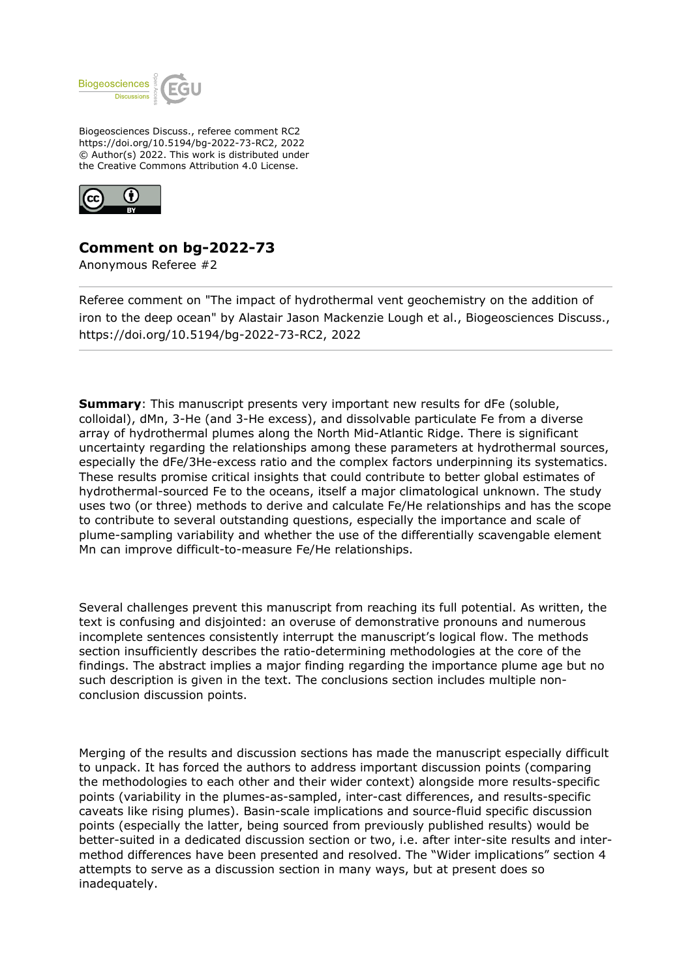

Biogeosciences Discuss., referee comment RC2 https://doi.org/10.5194/bg-2022-73-RC2, 2022 © Author(s) 2022. This work is distributed under the Creative Commons Attribution 4.0 License.



## **Comment on bg-2022-73**

Anonymous Referee #2

Referee comment on "The impact of hydrothermal vent geochemistry on the addition of iron to the deep ocean" by Alastair Jason Mackenzie Lough et al., Biogeosciences Discuss., https://doi.org/10.5194/bg-2022-73-RC2, 2022

**Summary:** This manuscript presents very important new results for dFe (soluble, colloidal), dMn, 3-He (and 3-He excess), and dissolvable particulate Fe from a diverse array of hydrothermal plumes along the North Mid-Atlantic Ridge. There is significant uncertainty regarding the relationships among these parameters at hydrothermal sources, especially the dFe/3He-excess ratio and the complex factors underpinning its systematics. These results promise critical insights that could contribute to better global estimates of hydrothermal-sourced Fe to the oceans, itself a major climatological unknown. The study uses two (or three) methods to derive and calculate Fe/He relationships and has the scope to contribute to several outstanding questions, especially the importance and scale of plume-sampling variability and whether the use of the differentially scavengable element Mn can improve difficult-to-measure Fe/He relationships.

Several challenges prevent this manuscript from reaching its full potential. As written, the text is confusing and disjointed: an overuse of demonstrative pronouns and numerous incomplete sentences consistently interrupt the manuscript's logical flow. The methods section insufficiently describes the ratio-determining methodologies at the core of the findings. The abstract implies a major finding regarding the importance plume age but no such description is given in the text. The conclusions section includes multiple nonconclusion discussion points.

Merging of the results and discussion sections has made the manuscript especially difficult to unpack. It has forced the authors to address important discussion points (comparing the methodologies to each other and their wider context) alongside more results-specific points (variability in the plumes-as-sampled, inter-cast differences, and results-specific caveats like rising plumes). Basin-scale implications and source-fluid specific discussion points (especially the latter, being sourced from previously published results) would be better-suited in a dedicated discussion section or two, i.e. after inter-site results and intermethod differences have been presented and resolved. The "Wider implications" section 4 attempts to serve as a discussion section in many ways, but at present does so inadequately.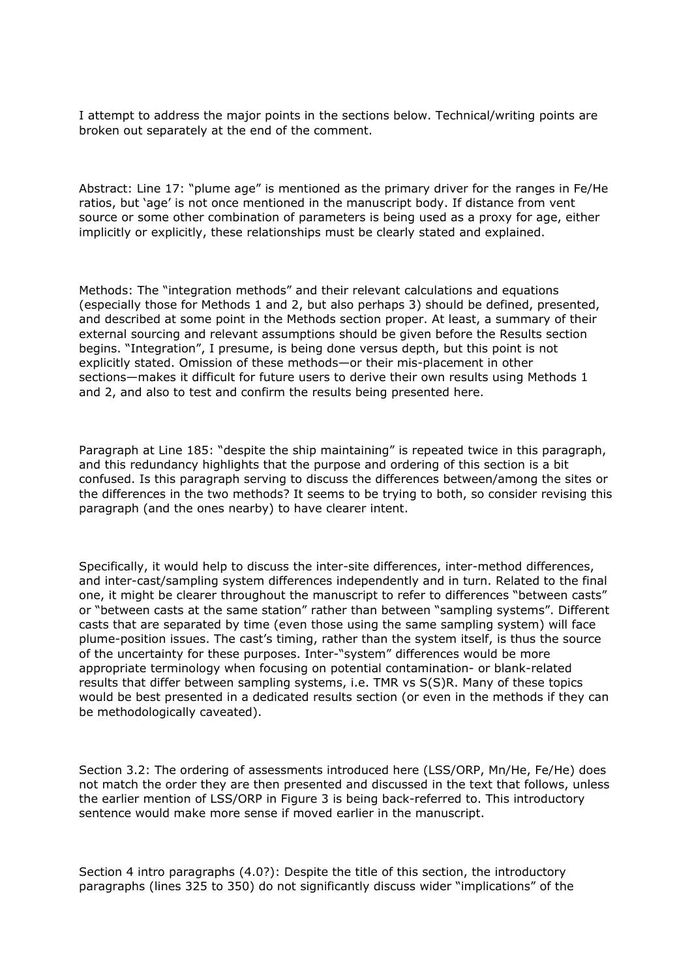I attempt to address the major points in the sections below. Technical/writing points are broken out separately at the end of the comment.

Abstract: Line 17: "plume age" is mentioned as the primary driver for the ranges in Fe/He ratios, but 'age' is not once mentioned in the manuscript body. If distance from vent source or some other combination of parameters is being used as a proxy for age, either implicitly or explicitly, these relationships must be clearly stated and explained.

Methods: The "integration methods" and their relevant calculations and equations (especially those for Methods 1 and 2, but also perhaps 3) should be defined, presented, and described at some point in the Methods section proper. At least, a summary of their external sourcing and relevant assumptions should be given before the Results section begins. "Integration", I presume, is being done versus depth, but this point is not explicitly stated. Omission of these methods—or their mis-placement in other sections—makes it difficult for future users to derive their own results using Methods 1 and 2, and also to test and confirm the results being presented here.

Paragraph at Line 185: "despite the ship maintaining" is repeated twice in this paragraph, and this redundancy highlights that the purpose and ordering of this section is a bit confused. Is this paragraph serving to discuss the differences between/among the sites or the differences in the two methods? It seems to be trying to both, so consider revising this paragraph (and the ones nearby) to have clearer intent.

Specifically, it would help to discuss the inter-site differences, inter-method differences, and inter-cast/sampling system differences independently and in turn. Related to the final one, it might be clearer throughout the manuscript to refer to differences "between casts" or "between casts at the same station" rather than between "sampling systems". Different casts that are separated by time (even those using the same sampling system) will face plume-position issues. The cast's timing, rather than the system itself, is thus the source of the uncertainty for these purposes. Inter-"system" differences would be more appropriate terminology when focusing on potential contamination- or blank-related results that differ between sampling systems, i.e. TMR vs S(S)R. Many of these topics would be best presented in a dedicated results section (or even in the methods if they can be methodologically caveated).

Section 3.2: The ordering of assessments introduced here (LSS/ORP, Mn/He, Fe/He) does not match the order they are then presented and discussed in the text that follows, unless the earlier mention of LSS/ORP in Figure 3 is being back-referred to. This introductory sentence would make more sense if moved earlier in the manuscript.

Section 4 intro paragraphs (4.0?): Despite the title of this section, the introductory paragraphs (lines 325 to 350) do not significantly discuss wider "implications" of the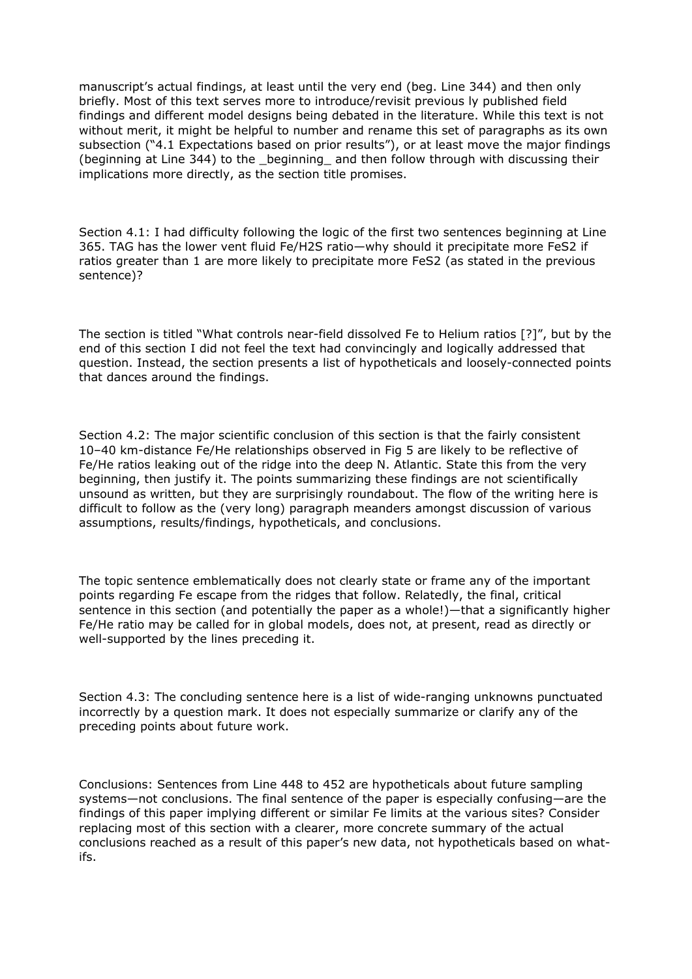manuscript's actual findings, at least until the very end (beg. Line 344) and then only briefly. Most of this text serves more to introduce/revisit previous ly published field findings and different model designs being debated in the literature. While this text is not without merit, it might be helpful to number and rename this set of paragraphs as its own subsection ("4.1 Expectations based on prior results"), or at least move the major findings (beginning at Line 344) to the beginning and then follow through with discussing their implications more directly, as the section title promises.

Section 4.1: I had difficulty following the logic of the first two sentences beginning at Line 365. TAG has the lower vent fluid Fe/H2S ratio—why should it precipitate more FeS2 if ratios greater than 1 are more likely to precipitate more FeS2 (as stated in the previous sentence)?

The section is titled "What controls near-field dissolved Fe to Helium ratios [?]", but by the end of this section I did not feel the text had convincingly and logically addressed that question. Instead, the section presents a list of hypotheticals and loosely-connected points that dances around the findings.

Section 4.2: The major scientific conclusion of this section is that the fairly consistent 10–40 km-distance Fe/He relationships observed in Fig 5 are likely to be reflective of Fe/He ratios leaking out of the ridge into the deep N. Atlantic. State this from the very beginning, then justify it. The points summarizing these findings are not scientifically unsound as written, but they are surprisingly roundabout. The flow of the writing here is difficult to follow as the (very long) paragraph meanders amongst discussion of various assumptions, results/findings, hypotheticals, and conclusions.

The topic sentence emblematically does not clearly state or frame any of the important points regarding Fe escape from the ridges that follow. Relatedly, the final, critical sentence in this section (and potentially the paper as a whole!)—that a significantly higher Fe/He ratio may be called for in global models, does not, at present, read as directly or well-supported by the lines preceding it.

Section 4.3: The concluding sentence here is a list of wide-ranging unknowns punctuated incorrectly by a question mark. It does not especially summarize or clarify any of the preceding points about future work.

Conclusions: Sentences from Line 448 to 452 are hypotheticals about future sampling systems—not conclusions. The final sentence of the paper is especially confusing—are the findings of this paper implying different or similar Fe limits at the various sites? Consider replacing most of this section with a clearer, more concrete summary of the actual conclusions reached as a result of this paper's new data, not hypotheticals based on whatifs.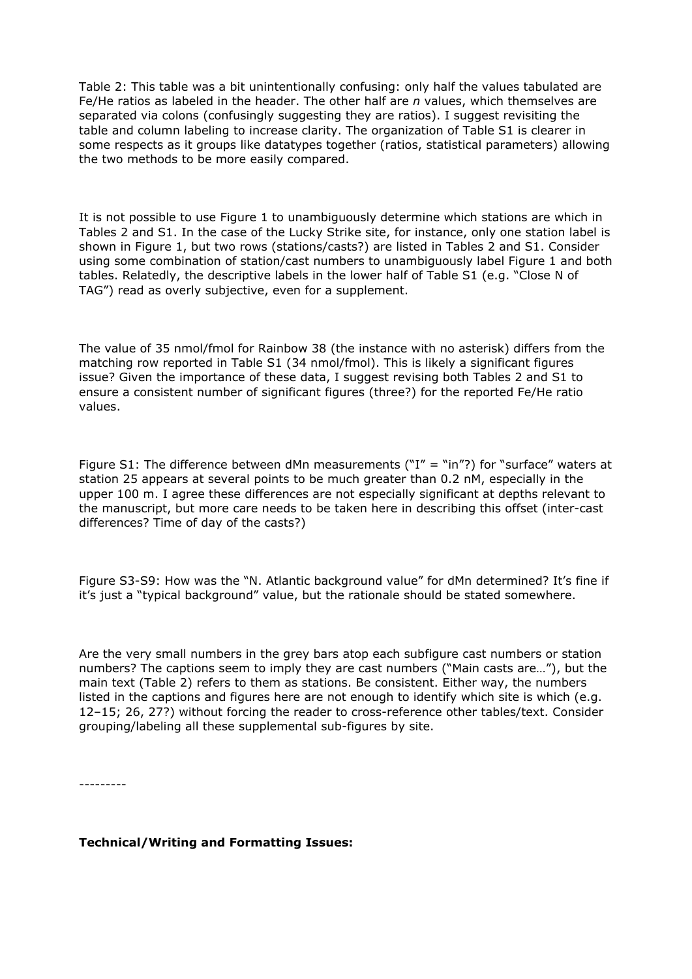Table 2: This table was a bit unintentionally confusing: only half the values tabulated are Fe/He ratios as labeled in the header. The other half are *n* values, which themselves are separated via colons (confusingly suggesting they are ratios). I suggest revisiting the table and column labeling to increase clarity. The organization of Table S1 is clearer in some respects as it groups like datatypes together (ratios, statistical parameters) allowing the two methods to be more easily compared.

It is not possible to use Figure 1 to unambiguously determine which stations are which in Tables 2 and S1. In the case of the Lucky Strike site, for instance, only one station label is shown in Figure 1, but two rows (stations/casts?) are listed in Tables 2 and S1. Consider using some combination of station/cast numbers to unambiguously label Figure 1 and both tables. Relatedly, the descriptive labels in the lower half of Table S1 (e.g. "Close N of TAG") read as overly subjective, even for a supplement.

The value of 35 nmol/fmol for Rainbow 38 (the instance with no asterisk) differs from the matching row reported in Table S1 (34 nmol/fmol). This is likely a significant figures issue? Given the importance of these data, I suggest revising both Tables 2 and S1 to ensure a consistent number of significant figures (three?) for the reported Fe/He ratio values.

Figure S1: The difference between dMn measurements ("I" = "in"?) for "surface" waters at station 25 appears at several points to be much greater than 0.2 nM, especially in the upper 100 m. I agree these differences are not especially significant at depths relevant to the manuscript, but more care needs to be taken here in describing this offset (inter-cast differences? Time of day of the casts?)

Figure S3-S9: How was the "N. Atlantic background value" for dMn determined? It's fine if it's just a "typical background" value, but the rationale should be stated somewhere.

Are the very small numbers in the grey bars atop each subfigure cast numbers or station numbers? The captions seem to imply they are cast numbers ("Main casts are…"), but the main text (Table 2) refers to them as stations. Be consistent. Either way, the numbers listed in the captions and figures here are not enough to identify which site is which (e.g. 12–15; 26, 27?) without forcing the reader to cross-reference other tables/text. Consider grouping/labeling all these supplemental sub-figures by site.

---------

## **Technical/Writing and Formatting Issues:**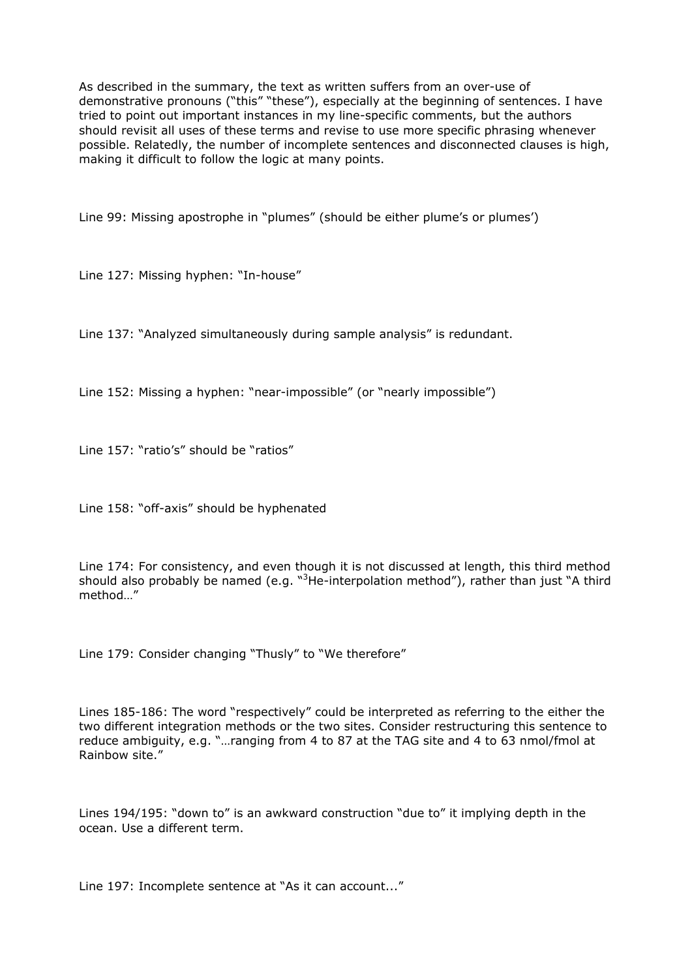As described in the summary, the text as written suffers from an over-use of demonstrative pronouns ("this" "these"), especially at the beginning of sentences. I have tried to point out important instances in my line-specific comments, but the authors should revisit all uses of these terms and revise to use more specific phrasing whenever possible. Relatedly, the number of incomplete sentences and disconnected clauses is high, making it difficult to follow the logic at many points.

Line 99: Missing apostrophe in "plumes" (should be either plume's or plumes')

Line 127: Missing hyphen: "In-house"

Line 137: "Analyzed simultaneously during sample analysis" is redundant.

Line 152: Missing a hyphen: "near-impossible" (or "nearly impossible")

Line 157: "ratio's" should be "ratios"

Line 158: "off-axis" should be hyphenated

Line 174: For consistency, and even though it is not discussed at length, this third method should also probably be named (e.g. " ${}^{3}$ He-interpolation method"), rather than just "A third method "

Line 179: Consider changing "Thusly" to "We therefore"

Lines 185-186: The word "respectively" could be interpreted as referring to the either the two different integration methods or the two sites. Consider restructuring this sentence to reduce ambiguity, e.g. "…ranging from 4 to 87 at the TAG site and 4 to 63 nmol/fmol at Rainbow site."

Lines 194/195: "down to" is an awkward construction "due to" it implying depth in the ocean. Use a different term.

Line 197: Incomplete sentence at "As it can account..."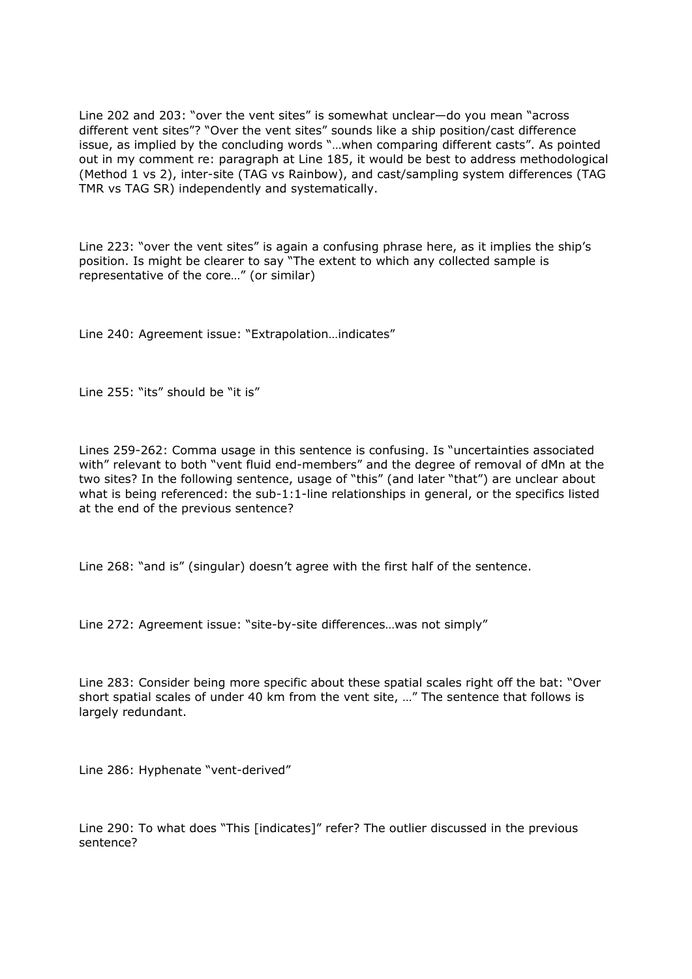Line 202 and 203: "over the vent sites" is somewhat unclear—do you mean "across different vent sites"? "Over the vent sites" sounds like a ship position/cast difference issue, as implied by the concluding words "…when comparing different casts". As pointed out in my comment re: paragraph at Line 185, it would be best to address methodological (Method 1 vs 2), inter-site (TAG vs Rainbow), and cast/sampling system differences (TAG TMR vs TAG SR) independently and systematically.

Line 223: "over the vent sites" is again a confusing phrase here, as it implies the ship's position. Is might be clearer to say "The extent to which any collected sample is representative of the core…" (or similar)

Line 240: Agreement issue: "Extrapolation…indicates"

Line 255: "its" should be "it is"

Lines 259-262: Comma usage in this sentence is confusing. Is "uncertainties associated with" relevant to both "vent fluid end-members" and the degree of removal of dMn at the two sites? In the following sentence, usage of "this" (and later "that") are unclear about what is being referenced: the sub-1:1-line relationships in general, or the specifics listed at the end of the previous sentence?

Line 268: "and is" (singular) doesn't agree with the first half of the sentence.

Line 272: Agreement issue: "site-by-site differences…was not simply"

Line 283: Consider being more specific about these spatial scales right off the bat: "Over short spatial scales of under 40 km from the vent site, …" The sentence that follows is largely redundant.

Line 286: Hyphenate "vent-derived"

Line 290: To what does "This [indicates]" refer? The outlier discussed in the previous sentence?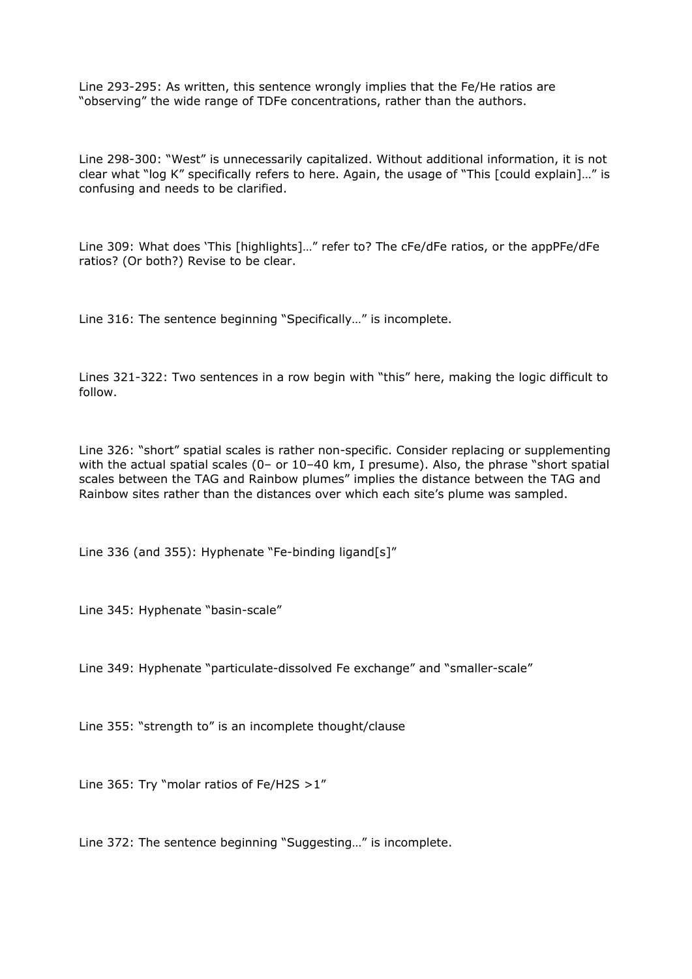Line 293-295: As written, this sentence wrongly implies that the Fe/He ratios are "observing" the wide range of TDFe concentrations, rather than the authors.

Line 298-300: "West" is unnecessarily capitalized. Without additional information, it is not clear what "log K" specifically refers to here. Again, the usage of "This [could explain]…" is confusing and needs to be clarified.

Line 309: What does 'This [highlights]…" refer to? The cFe/dFe ratios, or the appPFe/dFe ratios? (Or both?) Revise to be clear.

Line 316: The sentence beginning "Specifically…" is incomplete.

Lines 321-322: Two sentences in a row begin with "this" here, making the logic difficult to follow.

Line 326: "short" spatial scales is rather non-specific. Consider replacing or supplementing with the actual spatial scales (0– or 10–40 km, I presume). Also, the phrase "short spatial scales between the TAG and Rainbow plumes" implies the distance between the TAG and Rainbow sites rather than the distances over which each site's plume was sampled.

Line 336 (and 355): Hyphenate "Fe-binding ligand[s]"

Line 345: Hyphenate "basin-scale"

Line 349: Hyphenate "particulate-dissolved Fe exchange" and "smaller-scale"

Line 355: "strength to" is an incomplete thought/clause

Line 365: Try "molar ratios of Fe/H2S >1"

Line 372: The sentence beginning "Suggesting…" is incomplete.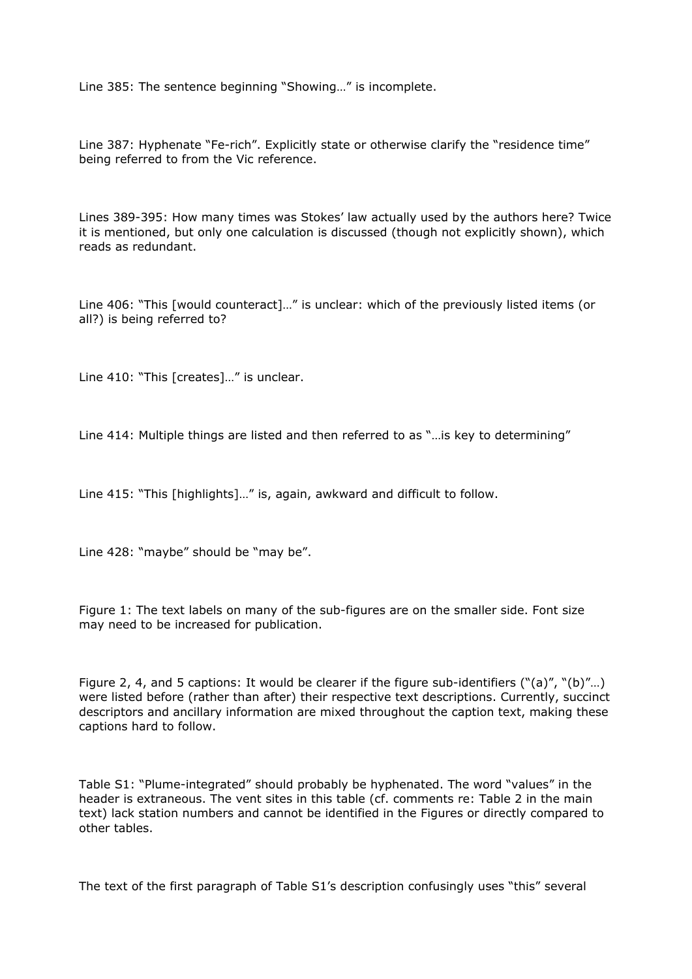Line 385: The sentence beginning "Showing…" is incomplete.

Line 387: Hyphenate "Fe-rich". Explicitly state or otherwise clarify the "residence time" being referred to from the Vic reference.

Lines 389-395: How many times was Stokes' law actually used by the authors here? Twice it is mentioned, but only one calculation is discussed (though not explicitly shown), which reads as redundant.

Line 406: "This [would counteract]…" is unclear: which of the previously listed items (or all?) is being referred to?

Line 410: "This [creates]..." is unclear.

Line 414: Multiple things are listed and then referred to as "…is key to determining"

Line 415: "This [highlights]…" is, again, awkward and difficult to follow.

Line 428: "maybe" should be "may be".

Figure 1: The text labels on many of the sub-figures are on the smaller side. Font size may need to be increased for publication.

Figure 2, 4, and 5 captions: It would be clearer if the figure sub-identifiers ("(a)", "(b)"…) were listed before (rather than after) their respective text descriptions. Currently, succinct descriptors and ancillary information are mixed throughout the caption text, making these captions hard to follow.

Table S1: "Plume-integrated" should probably be hyphenated. The word "values" in the header is extraneous. The vent sites in this table (cf. comments re: Table 2 in the main text) lack station numbers and cannot be identified in the Figures or directly compared to other tables.

The text of the first paragraph of Table S1's description confusingly uses "this" several